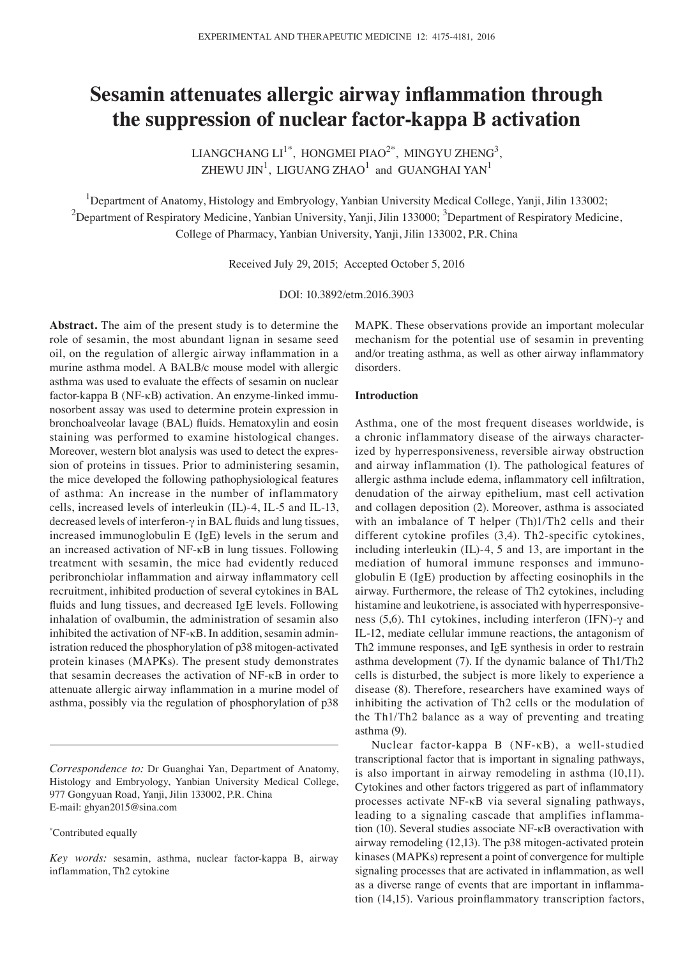# **Sesamin attenuates allergic airway inflammation through the suppression of nuclear factor‑kappa B activation**

LIANGCHANG  $LI^{1*}$ , HONGMEI PIAO<sup>2\*</sup>, MINGYU ZHENG<sup>3</sup>, ZHEWU JIN $^1$ , LIGUANG ZHAO $^1$  and GUANGHAI YAN $^1$ 

<sup>1</sup>Department of Anatomy, Histology and Embryology, Yanbian University Medical College, Yanji, Jilin 133002;  $^2$ Department of Respiratory Medicine, Yanbian University, Yanji, Jilin 133000;  $^3$ Department of Respiratory Medicine, College of Pharmacy, Yanbian University, Yanji, Jilin 133002, P.R. China

Received July 29, 2015; Accepted October 5, 2016

DOI: 10.3892/etm.2016.3903

**Abstract.** The aim of the present study is to determine the role of sesamin, the most abundant lignan in sesame seed oil, on the regulation of allergic airway inflammation in a murine asthma model. A BALB/c mouse model with allergic asthma was used to evaluate the effects of sesamin on nuclear factor-kappa B (NF-κB) activation. An enzyme-linked immunosorbent assay was used to determine protein expression in bronchoalveolar lavage (BAL) fluids. Hematoxylin and eosin staining was performed to examine histological changes. Moreover, western blot analysis was used to detect the expression of proteins in tissues. Prior to administering sesamin, the mice developed the following pathophysiological features of asthma: An increase in the number of inflammatory cells, increased levels of interleukin (IL)-4, IL-5 and IL-13, decreased levels of interferon-γ in BAL fluids and lung tissues, increased immunoglobulin E (IgE) levels in the serum and an increased activation of NF-κB in lung tissues. Following treatment with sesamin, the mice had evidently reduced peribronchiolar inflammation and airway inflammatory cell recruitment, inhibited production of several cytokines in BAL fluids and lung tissues, and decreased IgE levels. Following inhalation of ovalbumin, the administration of sesamin also inhibited the activation of NF-κB. In addition, sesamin administration reduced the phosphorylation of p38 mitogen-activated protein kinases (MAPKs). The present study demonstrates that sesamin decreases the activation of NF-κB in order to attenuate allergic airway inflammation in a murine model of asthma, possibly via the regulation of phosphorylation of p38

\* Contributed equally

MAPK. These observations provide an important molecular mechanism for the potential use of sesamin in preventing and/or treating asthma, as well as other airway inflammatory disorders.

## **Introduction**

Asthma, one of the most frequent diseases worldwide, is a chronic inflammatory disease of the airways characterized by hyperresponsiveness, reversible airway obstruction and airway inflammation (1). The pathological features of allergic asthma include edema, inflammatory cell infiltration, denudation of the airway epithelium, mast cell activation and collagen deposition (2). Moreover, asthma is associated with an imbalance of T helper (Th)1/Th2 cells and their different cytokine profiles (3,4). Th2-specific cytokines, including interleukin (IL)-4, 5 and 13, are important in the mediation of humoral immune responses and immunoglobulin E (IgE) production by affecting eosinophils in the airway. Furthermore, the release of Th2 cytokines, including histamine and leukotriene, is associated with hyperresponsiveness (5,6). Th1 cytokines, including interferon (IFN)-γ and IL-12, mediate cellular immune reactions, the antagonism of Th2 immune responses, and IgE synthesis in order to restrain asthma development (7). If the dynamic balance of Th1/Th2 cells is disturbed, the subject is more likely to experience a disease (8). Therefore, researchers have examined ways of inhibiting the activation of Th2 cells or the modulation of the Th1/Th2 balance as a way of preventing and treating asthma (9).

Nuclear factor-kappa B (NF-κB), a well-studied transcriptional factor that is important in signaling pathways, is also important in airway remodeling in asthma (10,11). Cytokines and other factors triggered as part of inflammatory processes activate NF-κB via several signaling pathways, leading to a signaling cascade that amplifies inflammation (10). Several studies associate NF-κB overactivation with airway remodeling (12,13). The p38 mitogen-activated protein kinases (MAPKs) represent a point of convergence for multiple signaling processes that are activated in inflammation, as well as a diverse range of events that are important in inflammation (14,15). Various proinflammatory transcription factors,

*Correspondence to:* Dr Guanghai Yan, Department of Anatomy, Histology and Embryology, Yanbian University Medical College, 977 Gongyuan Road, Yanji, Jilin 133002, P.R. China E-mail: ghyan2015@sina.com

*Key words:* sesamin, asthma, nuclear factor-kappa B, airway inflammation, Th2 cytokine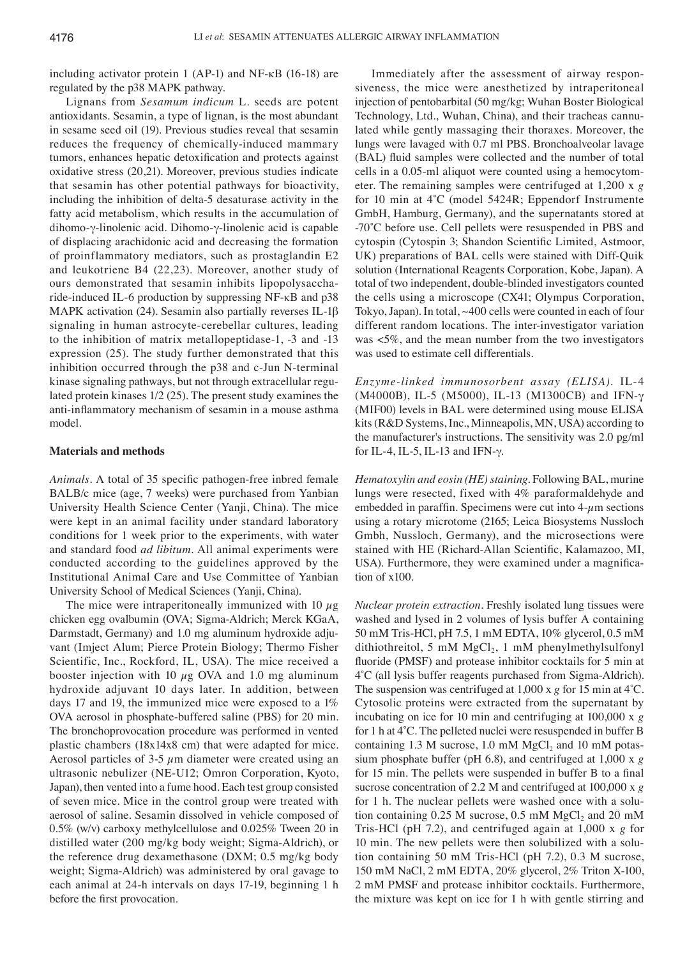including activator protein 1 (AP-1) and NF-κB (16-18) are regulated by the p38 MAPK pathway.

Lignans from *Sesamum indicum* L. seeds are potent antioxidants. Sesamin, a type of lignan, is the most abundant in sesame seed oil (19). Previous studies reveal that sesamin reduces the frequency of chemically-induced mammary tumors, enhances hepatic detoxification and protects against oxidative stress (20,21). Moreover, previous studies indicate that sesamin has other potential pathways for bioactivity, including the inhibition of delta-5 desaturase activity in the fatty acid metabolism, which results in the accumulation of dihomo-γ-linolenic acid. Dihomo-γ-linolenic acid is capable of displacing arachidonic acid and decreasing the formation of proinflammatory mediators, such as prostaglandin E2 and leukotriene B4 (22,23). Moreover, another study of ours demonstrated that sesamin inhibits lipopolysaccharide-induced IL-6 production by suppressing NF-κB and p38 MAPK activation (24). Sesamin also partially reverses IL-1β signaling in human astrocyte-cerebellar cultures, leading to the inhibition of matrix metallopeptidase-1, -3 and -13 expression (25). The study further demonstrated that this inhibition occurred through the p38 and c-Jun N-terminal kinase signaling pathways, but not through extracellular regulated protein kinases 1/2 (25). The present study examines the anti-inflammatory mechanism of sesamin in a mouse asthma model.

## **Materials and methods**

*Animals.* A total of 35 specific pathogen-free inbred female BALB/c mice (age, 7 weeks) were purchased from Yanbian University Health Science Center (Yanji, China). The mice were kept in an animal facility under standard laboratory conditions for 1 week prior to the experiments, with water and standard food *ad libitum*. All animal experiments were conducted according to the guidelines approved by the Institutional Animal Care and Use Committee of Yanbian University School of Medical Sciences (Yanji, China).

The mice were intraperitoneally immunized with 10  $\mu$ g chicken egg ovalbumin (OVA; Sigma-Aldrich; Merck KGaA, Darmstadt, Germany) and 1.0 mg aluminum hydroxide adjuvant (Imject Alum; Pierce Protein Biology; Thermo Fisher Scientific, Inc., Rockford, IL, USA). The mice received a booster injection with 10  $\mu$ g OVA and 1.0 mg aluminum hydroxide adjuvant 10 days later. In addition, between days 17 and 19, the immunized mice were exposed to a 1% OVA aerosol in phosphate-buffered saline (PBS) for 20 min. The bronchoprovocation procedure was performed in vented plastic chambers (18x14x8 cm) that were adapted for mice. Aerosol particles of 3-5  $\mu$ m diameter were created using an ultrasonic nebulizer (NE-U12; Omron Corporation, Kyoto, Japan), then vented into a fume hood. Each test group consisted of seven mice. Mice in the control group were treated with aerosol of saline. Sesamin dissolved in vehicle composed of 0.5% (w/v) carboxy methylcellulose and 0.025% Tween 20 in distilled water (200 mg/kg body weight; Sigma-Aldrich), or the reference drug dexamethasone (DXM; 0.5 mg/kg body weight; Sigma-Aldrich) was administered by oral gavage to each animal at 24-h intervals on days 17-19, beginning 1 h before the first provocation.

Immediately after the assessment of airway responsiveness, the mice were anesthetized by intraperitoneal injection of pentobarbital (50 mg/kg; Wuhan Boster Biological Technology, Ltd., Wuhan, China), and their tracheas cannulated while gently massaging their thoraxes. Moreover, the lungs were lavaged with 0.7 ml PBS. Bronchoalveolar lavage (BAL) fluid samples were collected and the number of total cells in a 0.05-ml aliquot were counted using a hemocytometer. The remaining samples were centrifuged at 1,200 x *g* for 10 min at 4˚C (model 5424R; Eppendorf Instrumente GmbH, Hamburg, Germany), and the supernatants stored at ‑70˚C before use. Cell pellets were resuspended in PBS and cytospin (Cytospin 3; Shandon Scientific Limited, Astmoor, UK) preparations of BAL cells were stained with Diff-Quik solution (International Reagents Corporation, Kobe, Japan). A total of two independent, double-blinded investigators counted the cells using a microscope (CX41; Olympus Corporation, Tokyo, Japan). In total, ~400 cells were counted in each of four different random locations. The inter-investigator variation was <5%, and the mean number from the two investigators was used to estimate cell differentials.

*Enzyme‑linked immunosorbent assay (ELISA).* IL-4 (M4000B), IL-5 (M5000), IL-13 (M1300CB) and IFN-γ (MIF00) levels in BAL were determined using mouse ELISA kits (R&D Systems, Inc., Minneapolis, MN, USA) according to the manufacturer's instructions. The sensitivity was 2.0 pg/ml for IL-4, IL-5, IL-13 and IFN-γ.

*Hematoxylin and eosin (HE) staining.* Following BAL, murine lungs were resected, fixed with 4% paraformaldehyde and embedded in paraffin. Specimens were cut into  $4-\mu$ m sections using a rotary microtome (2165; Leica Biosystems Nussloch Gmbh, Nussloch, Germany), and the microsections were stained with HE (Richard‑Allan Scientific, Kalamazoo, MI, USA). Furthermore, they were examined under a magnification of x100.

*Nuclear protein extraction.* Freshly isolated lung tissues were washed and lysed in 2 volumes of lysis buffer A containing 50 mM Tris-HCl, pH 7.5, 1 mM EDTA, 10% glycerol, 0.5 mM dithiothreitol, 5 mM  $MgCl<sub>2</sub>$ , 1 mM phenylmethylsulfonyl fluoride (PMSF) and protease inhibitor cocktails for 5 min at 4˚C (all lysis buffer reagents purchased from Sigma-Aldrich). The suspension was centrifuged at 1,000 x *g* for 15 min at 4˚C. Cytosolic proteins were extracted from the supernatant by incubating on ice for 10 min and centrifuging at 100,000 x *g* for 1 h at 4˚C. The pelleted nuclei were resuspended in buffer B containing 1.3 M sucrose, 1.0 mM  $MgCl<sub>2</sub>$  and 10 mM potassium phosphate buffer (pH 6.8), and centrifuged at 1,000 x *g* for 15 min. The pellets were suspended in buffer B to a final sucrose concentration of 2.2 M and centrifuged at 100,000 x *g* for 1 h. The nuclear pellets were washed once with a solution containing  $0.25$  M sucrose,  $0.5$  mM  $MgCl<sub>2</sub>$  and  $20$  mM Tris-HCl (pH 7.2), and centrifuged again at 1,000 x *g* for 10 min. The new pellets were then solubilized with a solution containing 50 mM Tris-HCl (pH 7.2), 0.3 M sucrose, 150 mM NaCl, 2 mM EDTA, 20% glycerol, 2% Triton X-100, 2 mM PMSF and protease inhibitor cocktails. Furthermore, the mixture was kept on ice for 1 h with gentle stirring and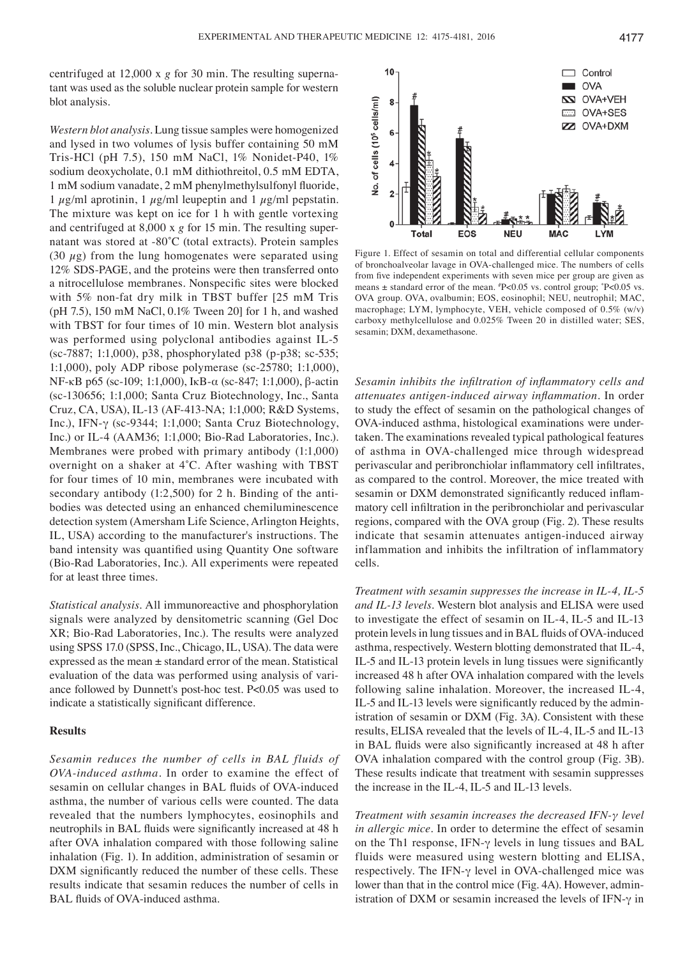centrifuged at 12,000 x *g* for 30 min. The resulting supernatant was used as the soluble nuclear protein sample for western blot analysis.

*Western blot analysis.* Lung tissue samples were homogenized and lysed in two volumes of lysis buffer containing 50 mM Tris-HCl (pH 7.5), 150 mM NaCl, 1% Nonidet-P40, 1% sodium deoxycholate, 0.1 mM dithiothreitol, 0.5 mM EDTA, 1 mM sodium vanadate, 2 mM phenylmethylsulfonyl fluoride, 1  $\mu$ g/ml aprotinin, 1  $\mu$ g/ml leupeptin and 1  $\mu$ g/ml pepstatin. The mixture was kept on ice for 1 h with gentle vortexing and centrifuged at 8,000 x *g* for 15 min. The resulting supernatant was stored at -80˚C (total extracts). Protein samples (30  $\mu$ g) from the lung homogenates were separated using 12% SDS-PAGE, and the proteins were then transferred onto a nitrocellulose membranes. Nonspecific sites were blocked with 5% non-fat dry milk in TBST buffer [25 mM Tris (pH 7.5), 150 mM NaCl, 0.1% Tween 20] for 1 h, and washed with TBST for four times of 10 min. Western blot analysis was performed using polyclonal antibodies against IL-5 (sc-7887; 1:1,000), p38, phosphorylated p38 (p-p38; sc-535; 1:1,000), poly ADP ribose polymerase (sc-25780; 1:1,000), NF-κB p65 (sc-109; 1:1,000), IκB-α (sc-847; 1:1,000), β-actin (sc-130656; 1:1,000; Santa Cruz Biotechnology, Inc., Santa Cruz, CA, USA), IL-13 (AF-413-NA; 1:1,000; R&D Systems, Inc.), IFN-γ (sc-9344; 1:1,000; Santa Cruz Biotechnology, Inc.) or IL-4 (AAM36; 1:1,000; Bio-Rad Laboratories, Inc.). Membranes were probed with primary antibody (1:1,000) overnight on a shaker at 4˚C. After washing with TBST for four times of 10 min, membranes were incubated with secondary antibody (1:2,500) for 2 h. Binding of the antibodies was detected using an enhanced chemiluminescence detection system (Amersham Life Science, Arlington Heights, IL, USA) according to the manufacturer's instructions. The band intensity was quantified using Quantity One software (Bio-Rad Laboratories, Inc.). All experiments were repeated for at least three times.

*Statistical analysis.* All immunoreactive and phosphorylation signals were analyzed by densitometric scanning (Gel Doc XR; Bio-Rad Laboratories, Inc.). The results were analyzed using SPSS 17.0 (SPSS, Inc., Chicago, IL, USA). The data were expressed as the mean ± standard error of the mean. Statistical evaluation of the data was performed using analysis of variance followed by Dunnett's post-hoc test. P<0.05 was used to indicate a statistically significant difference.

## **Results**

*Sesamin reduces the number of cells in BAL fluids of OVA‑induced asthma.* In order to examine the effect of sesamin on cellular changes in BAL fluids of OVA‑induced asthma, the number of various cells were counted. The data revealed that the numbers lymphocytes, eosinophils and neutrophils in BAL fluids were significantly increased at 48 h after OVA inhalation compared with those following saline inhalation (Fig. 1). In addition, administration of sesamin or DXM significantly reduced the number of these cells. These results indicate that sesamin reduces the number of cells in BAL fluids of OVA-induced asthma.



Figure 1. Effect of sesamin on total and differential cellular components of bronchoalveolar lavage in OVA-challenged mice. The numbers of cells from five independent experiments with seven mice per group are given as means ± standard error of the mean. # P<0.05 vs. control group; \* P<0.05 vs. OVA group. OVA, ovalbumin; EOS, eosinophil; NEU, neutrophil; MAC, macrophage; LYM, lymphocyte, VEH, vehicle composed of 0.5% (w/v) carboxy methylcellulose and 0.025% Tween 20 in distilled water; SES, sesamin; DXM, dexamethasone.

*Sesamin inhibits the infiltration of inflammatory cells and attenuates antigen‑induced airway inflammation.* In order to study the effect of sesamin on the pathological changes of OVA-induced asthma, histological examinations were undertaken. The examinations revealed typical pathological features of asthma in OVA-challenged mice through widespread perivascular and peribronchiolar inflammatory cell infiltrates, as compared to the control. Moreover, the mice treated with sesamin or DXM demonstrated significantly reduced inflammatory cell infiltration in the peribronchiolar and perivascular regions, compared with the OVA group (Fig. 2). These results indicate that sesamin attenuates antigen-induced airway inflammation and inhibits the infiltration of inflammatory cells.

*Treatment with sesamin suppresses the increase in IL‑4, IL‑5 and IL‑13 levels.* Western blot analysis and ELISA were used to investigate the effect of sesamin on IL-4, IL-5 and IL-13 protein levels in lung tissues and in BAL fluids of OVA‑induced asthma, respectively. Western blotting demonstrated that IL-4, IL‑5 and IL‑13 protein levels in lung tissues were significantly increased 48 h after OVA inhalation compared with the levels following saline inhalation. Moreover, the increased IL-4, IL-5 and IL-13 levels were significantly reduced by the administration of sesamin or DXM (Fig. 3A). Consistent with these results, ELISA revealed that the levels of IL-4, IL-5 and IL-13 in BAL fluids were also significantly increased at 48 h after OVA inhalation compared with the control group (Fig. 3B). These results indicate that treatment with sesamin suppresses the increase in the IL-4, IL-5 and IL-13 levels.

*Treatment with sesamin increases the decreased IFN‑γ level in allergic mice.* In order to determine the effect of sesamin on the Th1 response, IFN- $\gamma$  levels in lung tissues and BAL fluids were measured using western blotting and ELISA, respectively. The IFN-γ level in OVA-challenged mice was lower than that in the control mice (Fig. 4A). However, administration of DXM or sesamin increased the levels of IFN- $\gamma$  in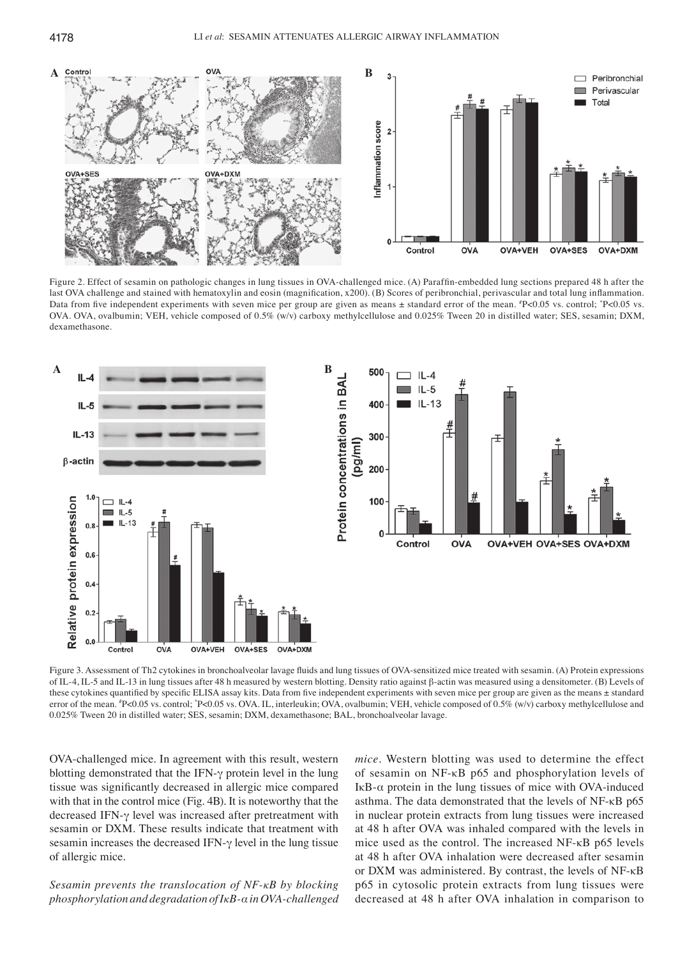

Figure 2. Effect of sesamin on pathologic changes in lung tissues in OVA‑challenged mice. (A) Paraffin‑embedded lung sections prepared 48 h after the last OVA challenge and stained with hematoxylin and eosin (magnification, x200). (B) Scores of peribronchial, perivascular and total lung inflammation. Data from five independent experiments with seven mice per group are given as means ± standard error of the mean. <sup>*I*</sup>P<0.05 vs. control; <sup>*I*</sup>P<0.05 vs. OVA. OVA, ovalbumin; VEH, vehicle composed of 0.5% (w/v) carboxy methylcellulose and 0.025% Tween 20 in distilled water; SES, sesamin; DXM, dexamethasone.



Figure 3. Assessment of Th2 cytokines in bronchoalveolar lavage fluids and lung tissues of OVA-sensitized mice treated with sesamin. (A) Protein expressions of IL-4, IL-5 and IL-13 in lung tissues after 48 h measured by western blotting. Density ratio against β-actin was measured using a densitometer. (B) Levels of these cytokines quantified by specific ELISA assay kits. Data from five independent experiments with seven mice per group are given as the means ± standard error of the mean. #P<0.05 vs. control; \*P<0.05 vs. OVA. IL, interleukin; OVA, ovalbumin; VEH, vehicle composed of 0.5% (w/v) carboxy methylcellulose and 0.025% Tween 20 in distilled water; SES, sesamin; DXM, dexamethasone; BAL, bronchoalveolar lavage.

OVA-challenged mice. In agreement with this result, western blotting demonstrated that the IFN-γ protein level in the lung tissue was significantly decreased in allergic mice compared with that in the control mice (Fig. 4B). It is noteworthy that the decreased IFN-γ level was increased after pretreatment with sesamin or DXM. These results indicate that treatment with sesamin increases the decreased IFN-γ level in the lung tissue of allergic mice.

*Sesamin prevents the translocation of NF‑κB by blocking phosphorylation and degradation of IκB‑α in OVA‑challenged*  *mice.* Western blotting was used to determine the effect of sesamin on NF-κB p65 and phosphorylation levels of IκB-α protein in the lung tissues of mice with OVA-induced asthma. The data demonstrated that the levels of NF-κB p65 in nuclear protein extracts from lung tissues were increased at 48 h after OVA was inhaled compared with the levels in mice used as the control. The increased NF-κB p65 levels at 48 h after OVA inhalation were decreased after sesamin or DXM was administered. By contrast, the levels of NF-κB p65 in cytosolic protein extracts from lung tissues were decreased at 48 h after OVA inhalation in comparison to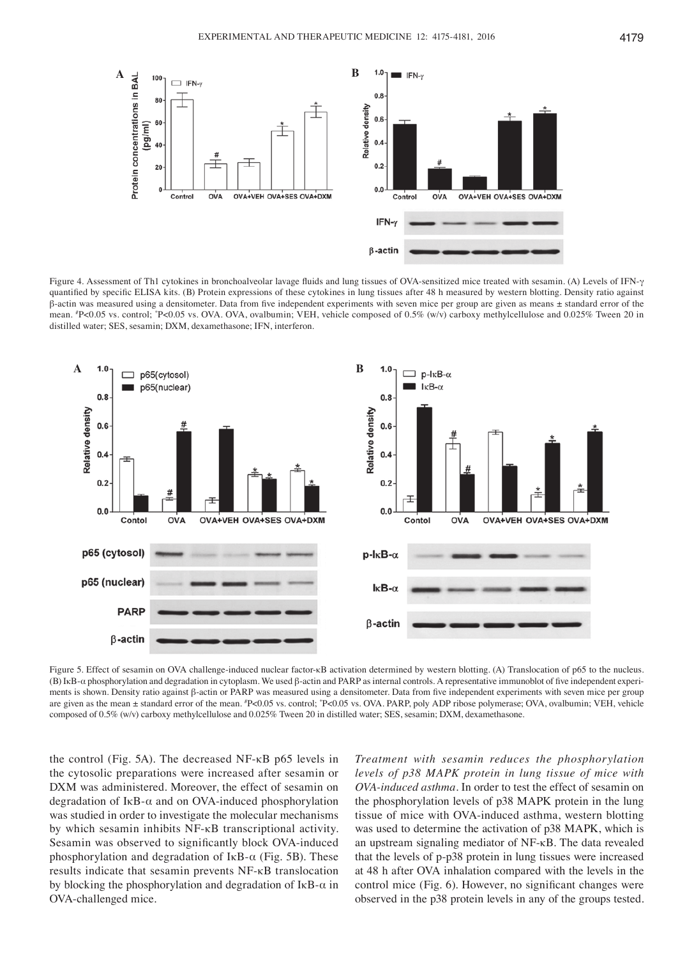

Figure 4. Assessment of Th1 cytokines in bronchoalveolar lavage fluids and lung tissues of OVA‑sensitized mice treated with sesamin. (A) Levels of IFN‑γ quantified by specific ELISA kits. (B) Protein expressions of these cytokines in lung tissues after 48 h measured by western blotting. Density ratio against β‑actin was measured using a densitometer. Data from five independent experiments with seven mice per group are given as means ± standard error of the mean. "P<0.05 vs. control; "P<0.05 vs. OVA. OVA, ovalbumin; VEH, vehicle composed of 0.5% (w/v) carboxy methylcellulose and 0.025% Tween 20 in distilled water; SES, sesamin; DXM, dexamethasone; IFN, interferon.



Figure 5. Effect of sesamin on OVA challenge-induced nuclear factor-κB activation determined by western blotting. (A) Translocation of p65 to the nucleus. (B) IκB-α phosphorylation and degradation in cytoplasm. We used β‑actin and PARP as internal controls. A representative immunoblot of five independent experiments is shown. Density ratio against β-actin or PARP was measured using a densitometer. Data from five independent experiments with seven mice per group are given as the mean ± standard error of the mean. #P<0.05 vs. control; \*P<0.05 vs. OVA. PARP, poly ADP ribose polymerase; OVA, ovalbumin; VEH, vehicle composed of 0.5% (w/v) carboxy methylcellulose and 0.025% Tween 20 in distilled water; SES, sesamin; DXM, dexamethasone.

the control (Fig. 5A). The decreased NF-κB p65 levels in the cytosolic preparations were increased after sesamin or DXM was administered. Moreover, the effect of sesamin on degradation of IκB-α and on OVA-induced phosphorylation was studied in order to investigate the molecular mechanisms by which sesamin inhibits NF-κB transcriptional activity. Sesamin was observed to significantly block OVA‑induced phosphorylation and degradation of IκB- $α$  (Fig. 5B). These results indicate that sesamin prevents NF-κB translocation by blocking the phosphorylation and degradation of IκB-α in OVA-challenged mice.

*Treatment with sesamin reduces the phosphorylation levels of p38 MAPK protein in lung tissue of mice with OVA‑induced asthma.* In order to test the effect of sesamin on the phosphorylation levels of p38 MAPK protein in the lung tissue of mice with OVA-induced asthma, western blotting was used to determine the activation of p38 MAPK, which is an upstream signaling mediator of NF-κB. The data revealed that the levels of p-p38 protein in lung tissues were increased at 48 h after OVA inhalation compared with the levels in the control mice (Fig. 6). However, no significant changes were observed in the p38 protein levels in any of the groups tested.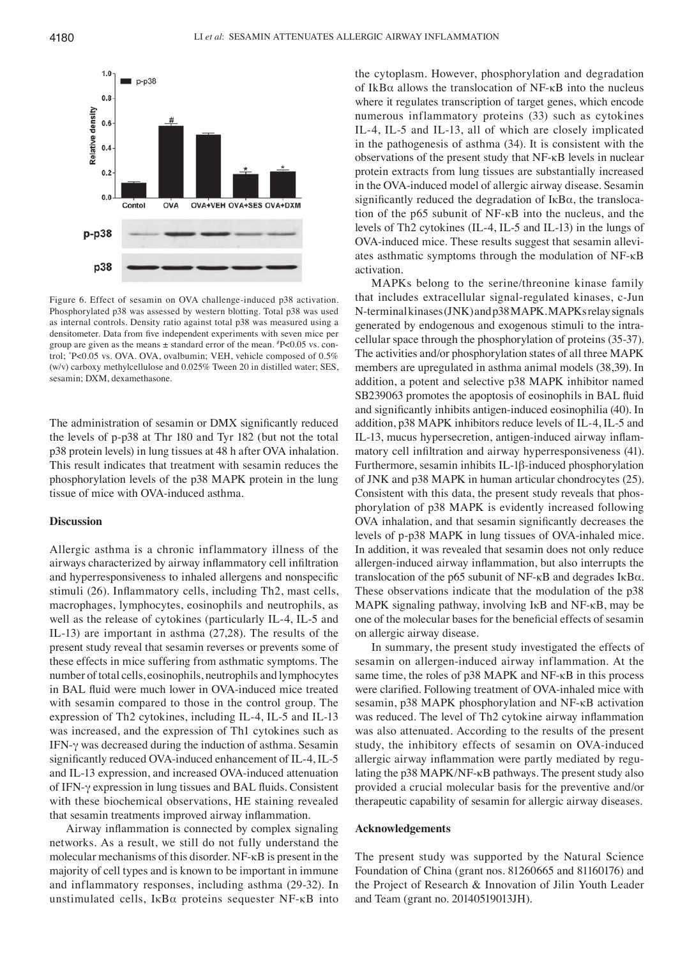

Figure 6. Effect of sesamin on OVA challenge-induced p38 activation. Phosphorylated p38 was assessed by western blotting. Total p38 was used as internal controls. Density ratio against total p38 was measured using a densitometer. Data from five independent experiments with seven mice per group are given as the means ± standard error of the mean. # P<0.05 vs. control; \* P<0.05 vs. OVA. OVA, ovalbumin; VEH, vehicle composed of 0.5% (w/v) carboxy methylcellulose and 0.025% Tween 20 in distilled water; SES, sesamin; DXM, dexamethasone.

The administration of sesamin or DMX significantly reduced the levels of p-p38 at Thr 180 and Tyr 182 (but not the total p38 protein levels) in lung tissues at 48 h after OVA inhalation. This result indicates that treatment with sesamin reduces the phosphorylation levels of the p38 MAPK protein in the lung tissue of mice with OVA-induced asthma.

## **Discussion**

Allergic asthma is a chronic inflammatory illness of the airways characterized by airway inflammatory cell infiltration and hyperresponsiveness to inhaled allergens and nonspecific stimuli (26). Inflammatory cells, including Th2, mast cells, macrophages, lymphocytes, eosinophils and neutrophils, as well as the release of cytokines (particularly IL-4, IL-5 and IL-13) are important in asthma (27,28). The results of the present study reveal that sesamin reverses or prevents some of these effects in mice suffering from asthmatic symptoms. The number of total cells, eosinophils, neutrophils and lymphocytes in BAL fluid were much lower in OVA‑induced mice treated with sesamin compared to those in the control group. The expression of Th2 cytokines, including IL-4, IL-5 and IL-13 was increased, and the expression of Th1 cytokines such as IFN-γ was decreased during the induction of asthma. Sesamin significantly reduced OVA-induced enhancement of IL-4, IL-5 and IL-13 expression, and increased OVA-induced attenuation of IFN-γ expression in lung tissues and BAL fluids. Consistent with these biochemical observations, HE staining revealed that sesamin treatments improved airway inflammation.

Airway inflammation is connected by complex signaling networks. As a result, we still do not fully understand the molecular mechanisms of this disorder. NF-κB is present in the majority of cell types and is known to be important in immune and inflammatory responses, including asthma (29-32). In unstimulated cells,  $I \kappa B\alpha$  proteins sequester NF- $\kappa B$  into the cytoplasm. However, phosphorylation and degradation of IkBα allows the translocation of NF-κB into the nucleus where it regulates transcription of target genes, which encode numerous inflammatory proteins (33) such as cytokines IL-4, IL-5 and IL-13, all of which are closely implicated in the pathogenesis of asthma (34). It is consistent with the observations of the present study that NF-κB levels in nuclear protein extracts from lung tissues are substantially increased in the OVA-induced model of allergic airway disease. Sesamin significantly reduced the degradation of IκBα, the translocation of the p65 subunit of NF-κB into the nucleus, and the levels of Th2 cytokines (IL-4, IL-5 and IL-13) in the lungs of OVA-induced mice. These results suggest that sesamin alleviates asthmatic symptoms through the modulation of NF-κB activation.

MAPKs belong to the serine/threonine kinase family that includes extracellular signal-regulated kinases, c-Jun N-terminal kinases (JNK) and p38 MAPK. MAPKs relay signals generated by endogenous and exogenous stimuli to the intracellular space through the phosphorylation of proteins (35-37). The activities and/or phosphorylation states of all three MAPK members are upregulated in asthma animal models (38,39). In addition, a potent and selective p38 MAPK inhibitor named SB239063 promotes the apoptosis of eosinophils in BAL fluid and significantly inhibits antigen‑induced eosinophilia (40). In addition, p38 MAPK inhibitors reduce levels of IL-4, IL-5 and IL‑13, mucus hypersecretion, antigen‑induced airway inflammatory cell infiltration and airway hyperresponsiveness (41). Furthermore, sesamin inhibits IL-1β-induced phosphorylation of JNK and p38 MAPK in human articular chondrocytes (25). Consistent with this data, the present study reveals that phosphorylation of p38 MAPK is evidently increased following OVA inhalation, and that sesamin significantly decreases the levels of p-p38 MAPK in lung tissues of OVA-inhaled mice. In addition, it was revealed that sesamin does not only reduce allergen‑induced airway inflammation, but also interrupts the translocation of the p65 subunit of  $NF$ - $\kappa$ B and degrades I $\kappa$ B $\alpha$ . These observations indicate that the modulation of the p38 MAPK signaling pathway, involving IκB and NF-κB, may be one of the molecular bases for the beneficial effects of sesamin on allergic airway disease.

In summary, the present study investigated the effects of sesamin on allergen-induced airway inflammation. At the same time, the roles of p38 MAPK and NF-κB in this process were clarified. Following treatment of OVA-inhaled mice with sesamin, p38 MAPK phosphorylation and NF-κB activation was reduced. The level of Th2 cytokine airway inflammation was also attenuated. According to the results of the present study, the inhibitory effects of sesamin on OVA-induced allergic airway inflammation were partly mediated by regulating the p38 MAPK/NF-κB pathways. The present study also provided a crucial molecular basis for the preventive and/or therapeutic capability of sesamin for allergic airway diseases.

#### **Acknowledgements**

The present study was supported by the Natural Science Foundation of China (grant nos. 81260665 and 81160176) and the Project of Research & Innovation of Jilin Youth Leader and Team (grant no. 20140519013JH).